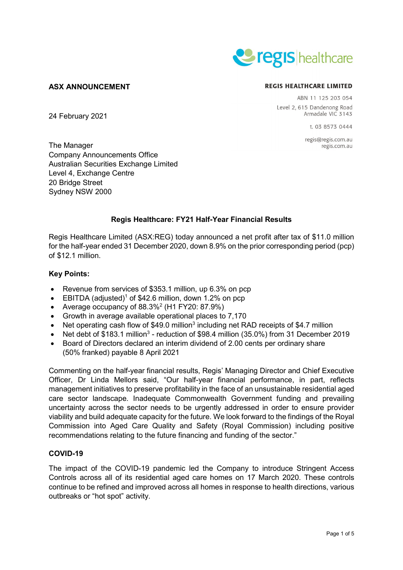

## **ASX ANNOUNCEMENT**

24 February 2021

#### **REGIS HEALTHCARE LIMITED**

ABN 11 125 203 054 Level 2, 615 Dandenong Road Armadale VIC 3143

1 03 8573 0444

regis@regis.com.au regis.com.au

The Manager Company Announcements Office Australian Securities Exchange Limited Level 4, Exchange Centre 20 Bridge Street Sydney NSW 2000

# **Regis Healthcare: FY21 Half-Year Financial Results**

Regis Healthcare Limited (ASX:REG) today announced a net profit after tax of \$11.0 million for the half-year ended 31 December 2020, down 8.9% on the prior corresponding period (pcp) of \$12.1 million.

## **Key Points:**

- Revenue from services of \$353.1 million, up 6.3% on pcp
- EBITDA (adjusted)<sup>1</sup> of \$42.6 million, down 1.2% on pcp
- Average occupancy of 88.3%<sup>2</sup> (H1 FY20: 87.9%)
- Growth in average available operational places to 7,170
- Net operating cash flow of \$49.0 million<sup>3</sup> including net RAD receipts of \$4.7 million
- Net debt of \$183.1 million<sup>3</sup> reduction of \$98.4 million (35.0%) from 31 December 2019
- Board of Directors declared an interim dividend of 2.00 cents per ordinary share (50% franked) payable 8 April 2021

Commenting on the half-year financial results, Regis' Managing Director and Chief Executive Officer, Dr Linda Mellors said, "Our half-year financial performance, in part, reflects management initiatives to preserve profitability in the face of an unsustainable residential aged care sector landscape. Inadequate Commonwealth Government funding and prevailing uncertainty across the sector needs to be urgently addressed in order to ensure provider viability and build adequate capacity for the future. We look forward to the findings of the Royal Commission into Aged Care Quality and Safety (Royal Commission) including positive recommendations relating to the future financing and funding of the sector."

## **COVID-19**

The impact of the COVID-19 pandemic led the Company to introduce Stringent Access Controls across all of its residential aged care homes on 17 March 2020. These controls continue to be refined and improved across all homes in response to health directions, various outbreaks or "hot spot" activity.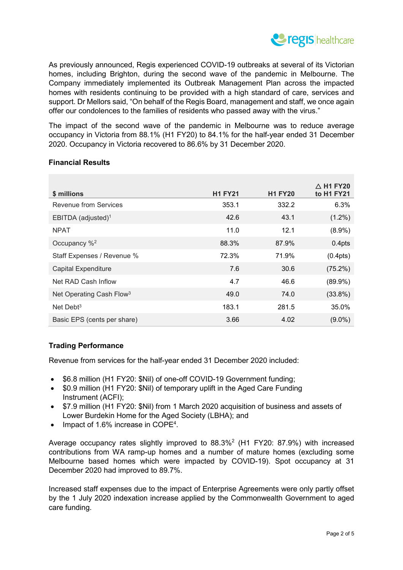

As previously announced, Regis experienced COVID-19 outbreaks at several of its Victorian homes, including Brighton, during the second wave of the pandemic in Melbourne. The Company immediately implemented its Outbreak Management Plan across the impacted homes with residents continuing to be provided with a high standard of care, services and support. Dr Mellors said, "On behalf of the Regis Board, management and staff, we once again offer our condolences to the families of residents who passed away with the virus."

The impact of the second wave of the pandemic in Melbourne was to reduce average occupancy in Victoria from 88.1% (H1 FY20) to 84.1% for the half-year ended 31 December 2020. Occupancy in Victoria recovered to 86.6% by 31 December 2020.

| \$ millions                          | <b>H1 FY21</b> | <b>H1 FY20</b> | $\triangle$ H1 FY20<br>to H <sub>1</sub> FY <sub>21</sub> |
|--------------------------------------|----------------|----------------|-----------------------------------------------------------|
| Revenue from Services                | 353.1          | 332.2          | 6.3%                                                      |
| EBITDA (adjusted) <sup>1</sup>       | 42.6           | 43.1           | $(1.2\%)$                                                 |
| <b>NPAT</b>                          | 11.0           | 12.1           | $(8.9\%)$                                                 |
| Occupancy % <sup>2</sup>             | 88.3%          | 87.9%          | 0.4 <sub>pts</sub>                                        |
| Staff Expenses / Revenue %           | 72.3%          | 71.9%          | (0.4pts)                                                  |
| <b>Capital Expenditure</b>           | 7.6            | 30.6           | $(75.2\%)$                                                |
| Net RAD Cash Inflow                  | 4.7            | 46.6           | $(89.9\%)$                                                |
| Net Operating Cash Flow <sup>3</sup> | 49.0           | 74.0           | $(33.8\%)$                                                |
| Net Debt $3$                         | 183.1          | 281.5          | 35.0%                                                     |
| Basic EPS (cents per share)          | 3.66           | 4.02           | $(9.0\%)$                                                 |

## **Financial Results**

## **Trading Performance**

Revenue from services for the half-year ended 31 December 2020 included:

- \$6.8 million (H1 FY20: \$Nil) of one-off COVID-19 Government funding;
- \$0.9 million (H1 FY20: \$Nil) of temporary uplift in the Aged Care Funding Instrument (ACFI);
- \$7.9 million (H1 FY20: \$Nil) from 1 March 2020 acquisition of business and assets of Lower Burdekin Home for the Aged Society (LBHA); and
- Impact of 1.6% increase in COPE<sup>4</sup>.

Average occupancy rates slightly improved to 88.3%<sup>2</sup> (H1 FY20: 87.9%) with increased contributions from WA ramp-up homes and a number of mature homes (excluding some Melbourne based homes which were impacted by COVID-19). Spot occupancy at 31 December 2020 had improved to 89.7%.

Increased staff expenses due to the impact of Enterprise Agreements were only partly offset by the 1 July 2020 indexation increase applied by the Commonwealth Government to aged care funding.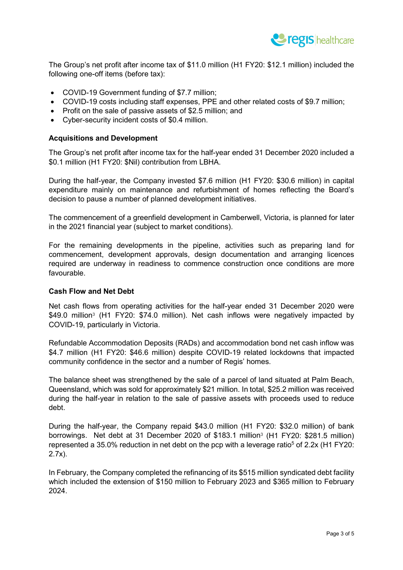

The Group's net profit after income tax of \$11.0 million (H1 FY20: \$12.1 million) included the following one-off items (before tax):

- COVID-19 Government funding of \$7.7 million;
- COVID-19 costs including staff expenses, PPE and other related costs of \$9.7 million;
- Profit on the sale of passive assets of \$2.5 million; and
- Cyber-security incident costs of \$0.4 million.

### **Acquisitions and Development**

The Group's net profit after income tax for the half-year ended 31 December 2020 included a \$0.1 million (H1 FY20: \$Nil) contribution from LBHA.

During the half-year, the Company invested \$7.6 million (H1 FY20: \$30.6 million) in capital expenditure mainly on maintenance and refurbishment of homes reflecting the Board's decision to pause a number of planned development initiatives.

The commencement of a greenfield development in Camberwell, Victoria, is planned for later in the 2021 financial year (subject to market conditions).

For the remaining developments in the pipeline, activities such as preparing land for commencement, development approvals, design documentation and arranging licences required are underway in readiness to commence construction once conditions are more favourable.

### **Cash Flow and Net Debt**

Net cash flows from operating activities for the half-year ended 31 December 2020 were \$49.0 million<sup>3</sup> (H1 FY20: \$74.0 million). Net cash inflows were negatively impacted by COVID-19, particularly in Victoria.

Refundable Accommodation Deposits (RADs) and accommodation bond net cash inflow was \$4.7 million (H1 FY20: \$46.6 million) despite COVID-19 related lockdowns that impacted community confidence in the sector and a number of Regis' homes.

The balance sheet was strengthened by the sale of a parcel of land situated at Palm Beach, Queensland, which was sold for approximately \$21 million. In total, \$25.2 million was received during the half-year in relation to the sale of passive assets with proceeds used to reduce debt.

During the half-year, the Company repaid \$43.0 million (H1 FY20: \$32.0 million) of bank borrowings. Net debt at 31 December 2020 of \$183.1 million3 (H1 FY20: \$281.5 million) represented a 35.0% reduction in net debt on the pcp with a leverage ratio<sup>5</sup> of 2.2x (H1 FY20: 2.7x).

In February, the Company completed the refinancing of its \$515 million syndicated debt facility which included the extension of \$150 million to February 2023 and \$365 million to February 2024.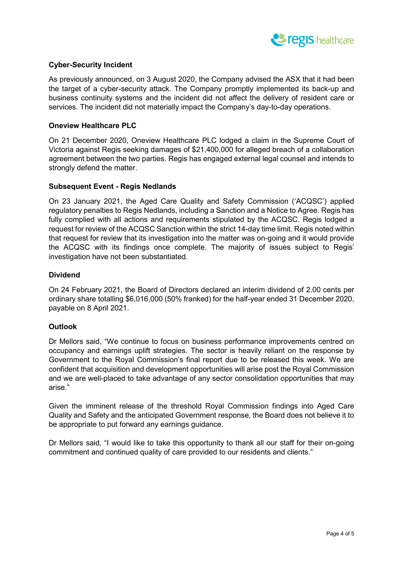

## **Cyber-Security Incident**

As previously announced, on 3 August 2020, the Company advised the ASX that it had been the target of a cyber-security attack. The Company promptly implemented its back-up and business continuity systems and the incident did not affect the delivery of resident care or services. The incident did not materially impact the Company's day-to-day operations.

### **Oneview Healthcare PLC**

On 21 December 2020, Oneview Healthcare PLC lodged a claim in the Supreme Court of Victoria against Regis seeking damages of \$21,400,000 for alleged breach of a collaboration agreement between the two parties. Regis has engaged external legal counsel and intends to strongly defend the matter.

## **Subsequent Event - Regis Nedlands**

On 23 January 2021, the Aged Care Quality and Safety Commission ('ACQSC') applied regulatory penalties to Regis Nedlands, including a Sanction and a Notice to Agree. Regis has fully complied with all actions and requirements stipulated by the ACQSC. Regis lodged a request for review of the ACQSC Sanction within the strict 14-day time limit. Regis noted within that request for review that its investigation into the matter was on-going and it would provide the ACQSC with its findings once complete. The majority of issues subject to Regis' investigation have not been substantiated.

## **Dividend**

On 24 February 2021, the Board of Directors declared an interim dividend of 2.00 cents per ordinary share totalling \$6,016,000 (50% franked) for the half-year ended 31 December 2020, payable on 8 April 2021.

### **Outlook**

Dr Mellors said, "We continue to focus on business performance improvements centred on occupancy and earnings uplift strategies. The sector is heavily reliant on the response by Government to the Royal Commission's final report due to be released this week. We are confident that acquisition and development opportunities will arise post the Royal Commission and we are well-placed to take advantage of any sector consolidation opportunities that may arise."

Given the imminent release of the threshold Royal Commission findings into Aged Care Quality and Safety and the anticipated Government response, the Board does not believe it to be appropriate to put forward any earnings guidance.

Dr Mellors said, "I would like to take this opportunity to thank all our staff for their on-going commitment and continued quality of care provided to our residents and clients."